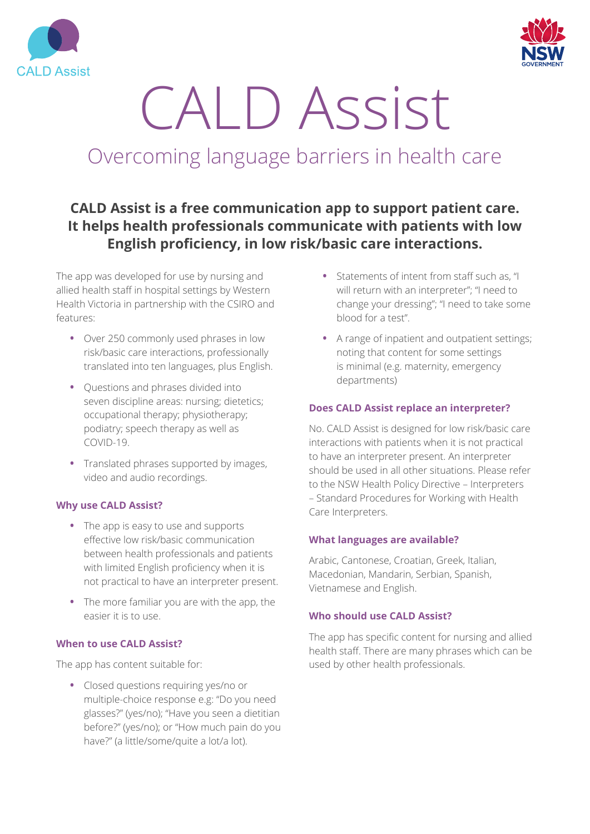



# CALD Assist

## Overcoming language barriers in health care

### **CALD Assist is a free communication app to support patient care. It helps health professionals communicate with patients with low English proficiency, in low risk/basic care interactions.**

The app was developed for use by nursing and allied health staff in hospital settings by Western Health Victoria in partnership with the CSIRO and features:

- **•** Over 250 commonly used phrases in low risk/basic care interactions, professionally translated into ten languages, plus English.
- **•** Questions and phrases divided into seven discipline areas: nursing; dietetics; occupational therapy; physiotherapy; podiatry; speech therapy as well as  $COMID-19$
- **•** Translated phrases supported by images, video and audio recordings.

#### **Why use CALD Assist?**

- **•** The app is easy to use and supports effective low risk/basic communication between health professionals and patients with limited English proficiency when it is not practical to have an interpreter present.
- **•** The more familiar you are with the app, the easier it is to use.

#### **When to use CALD Assist?**

The app has content suitable for:

**•** Closed questions requiring yes/no or multiple-choice response e.g: "Do you need glasses?" (yes/no); "Have you seen a dietitian before?" (yes/no); or "How much pain do you have?" (a little/some/quite a lot/a lot).

- **•** Statements of intent from staff such as, "I will return with an interpreter"; "I need to change your dressing"; "I need to take some blood for a test".
- **•** A range of inpatient and outpatient settings; noting that content for some settings is minimal (e.g. maternity, emergency departments)

#### **Does CALD Assist replace an interpreter?**

No. CALD Assist is designed for low risk/basic care interactions with patients when it is not practical to have an interpreter present. An interpreter should be used in all other situations. Please refer to the NSW Health Policy Directive – Interpreters – Standard Procedures for Working with Health Care Interpreters.

#### **What languages are available?**

Arabic, Cantonese, Croatian, Greek, Italian, Macedonian, Mandarin, Serbian, Spanish, Vietnamese and English.

#### **Who should use CALD Assist?**

The app has specific content for nursing and allied health staff. There are many phrases which can be used by other health professionals.